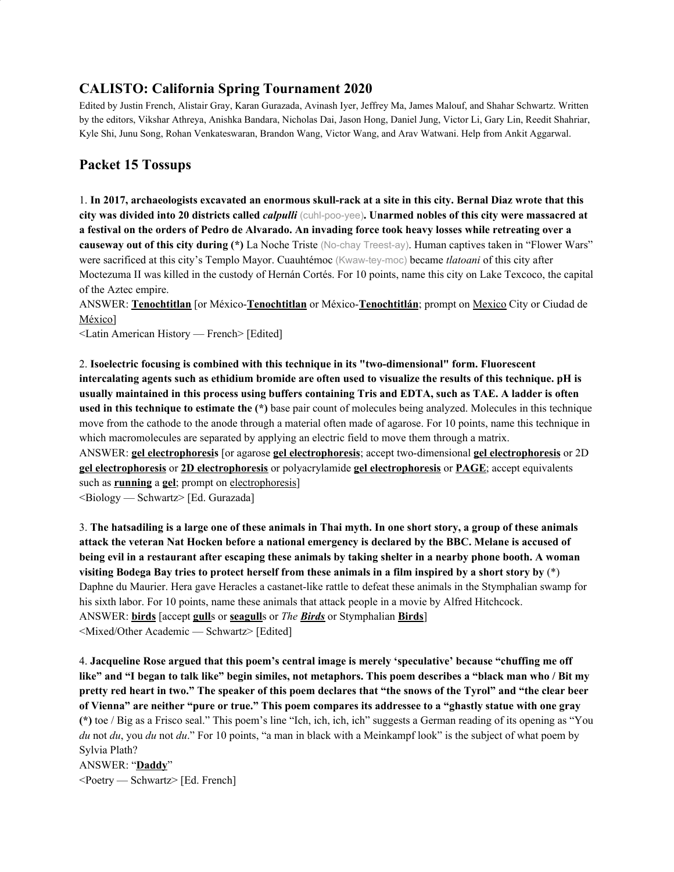# **CALISTO: California Spring Tournament 2020**

Edited by Justin French, Alistair Gray, Karan Gurazada, Avinash Iyer, Jeffrey Ma, James Malouf, and Shahar Schwartz. Written by the editors, Vikshar Athreya, Anishka Bandara, Nicholas Dai, Jason Hong, Daniel Jung, Victor Li, Gary Lin, Reedit Shahriar, Kyle Shi, Junu Song, Rohan Venkateswaran, Brandon Wang, Victor Wang, and Arav Watwani. Help from Ankit Aggarwal.

# **Packet 15 Tossups**

1. In 2017, archaeologists excavated an enormous skull-rack at a site in this city. Bernal Diaz wrote that this city was divided into 20 districts called *calpulli* (cuhl-poo-yee). Unarmed nobles of this city were massacred at a festival on the orders of Pedro de Alvarado. An invading force took heavy losses while retreating over a **causeway out of this city during (\*)** La Noche Triste (No-chay Treest-ay). Human captives taken in "Flower Wars" were sacrificed at this city's Templo Mayor. Cuauhtémoc (Kwaw-tey-moc) became *tlatoani* of this city after Moctezuma II was killed in the custody of Hernán Cortés. For 10 points, name this city on Lake Texcoco, the capital of the Aztec empire.

ANSWER: **Tenochtitlan** [or México-**Tenochtitlan** or México-**Tenochtitlán**; prompt on Mexico City or Ciudad de México]

<Latin American History — French> [Edited]

2. **Isoelectric focusing is combined with this technique in its "two-dimensional" form. Fluorescent** intercalating agents such as ethidium bromide are often used to visualize the results of this technique. pH is usually maintained in this process using buffers containing Tris and EDTA, such as TAE. A ladder is often **used in this technique to estimate the (\*)** base pair count of molecules being analyzed. Molecules in this technique move from the cathode to the anode through a material often made of agarose. For 10 points, name this technique in which macromolecules are separated by applying an electric field to move them through a matrix. ANSWER: **gel electrophoresis** [or agarose **gel electrophoresis**; accept two-dimensional **gel electrophoresis** or 2D **gel electrophoresis** or **2D electrophoresis** or polyacrylamide **gel electrophoresis** or **PAGE**; accept equivalents

such as **running** a **gel**; prompt on electrophoresis]

<Biology — Schwartz> [Ed. Gurazada]

3. The hatsadiling is a large one of these animals in Thai myth. In one short story, a group of these animals attack the veteran Nat Hocken before a national emergency is declared by the BBC. Melane is accused of being evil in a restaurant after escaping these animals by taking shelter in a nearby phone booth. A woman visiting Bodega Bay tries to protect herself from these animals in a film inspired by a short story by  $(*)$ Daphne du Maurier. Hera gave Heracles a castanet-like rattle to defeat these animals in the Stymphalian swamp for his sixth labor. For 10 points, name these animals that attack people in a movie by Alfred Hitchcock. ANSWER: **birds** [accept **gull**s or **seagull**s or *The Birds* or Stymphalian **Birds**] <Mixed/Other Academic — Schwartz> [Edited]

4. **Jacqueline Rose argued that this poem's central image is merely 'speculative' because "chuffing me off** like" and "I began to talk like" begin similes, not metaphors. This poem describes a "black man who / Bit my pretty red heart in two." The speaker of this poem declares that "the snows of the Tyrol" and "the clear beer of Vienna" are neither "pure or true." This poem compares its addressee to a "ghastly statue with one gray **(\*)** toe / Big as a Frisco seal." This poem's line "Ich, ich, ich, ich" suggests a German reading of its opening as "You *du* not *du*, you *du* not *du*." For 10 points, "a man in black with a Meinkampf look" is the subject of what poem by Sylvia Plath?

ANSWER: "**Daddy**" <Poetry — Schwartz> [Ed. French]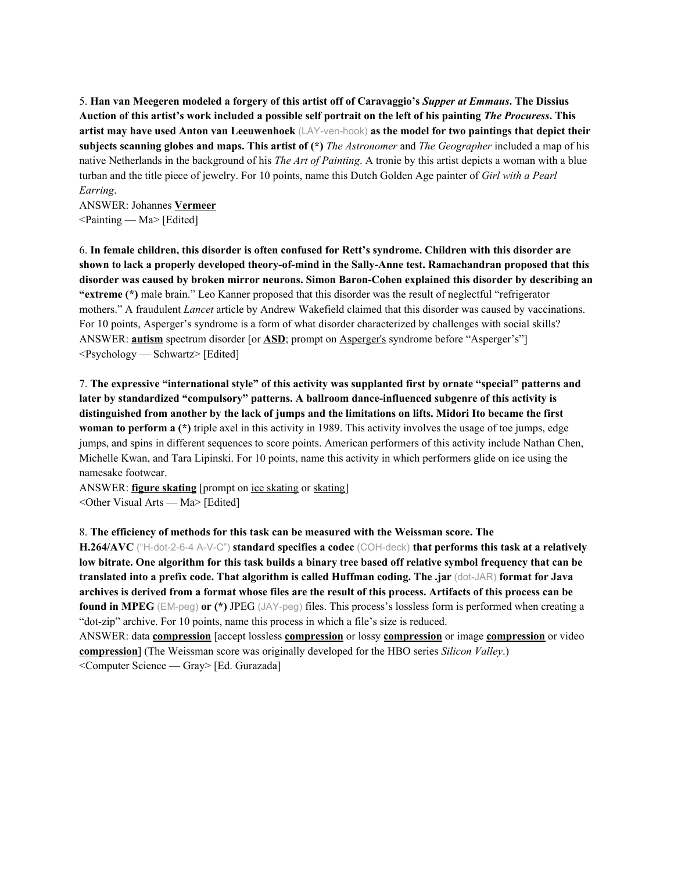5. Han van Meegeren modeled a forgery of this artist off of Caravaggio's Supper at Emmaus. The Dissius Auction of this artist's work included a possible self portrait on the left of his painting *The Procuress*. This **artist may have used Anton van Leeuwenhoek** (LAY-ven-hook) **as the model for two paintings that depict their subjects scanning globes and maps. This artist of (\*)** *The Astronomer* and *The Geographer* included a map of his native Netherlands in the background of his *The Art of Painting*. A tronie by this artist depicts a woman with a blue turban and the title piece of jewelry. For 10 points, name this Dutch Golden Age painter of *Girl with a Pearl Earring*.

ANSWER: Johannes **Vermeer**  $\leq$ Painting — Ma $>$  [Edited]

6. **In female children, this disorder is often confused for Rett's syndrome. Children with this disorder are shown to lack a properly developed theory-of-mind in the Sally-Anne test. Ramachandran proposed that this disorder was caused by broken mirror neurons. Simon Baron-Cohen explained this disorder by describing an "extreme (\*)** male brain." Leo Kanner proposed that this disorder was the result of neglectful "refrigerator mothers." A fraudulent *Lancet* article by Andrew Wakefield claimed that this disorder was caused by vaccinations. For 10 points, Asperger's syndrome is a form of what disorder characterized by challenges with social skills? ANSWER: **autism** spectrum disorder [or **ASD**; prompt on Asperger's syndrome before "Asperger's"] <Psychology — Schwartz> [Edited]

7. **The expressive "international style" of this activity was supplanted first by ornate "special" patterns and later by standardized "compulsory" patterns. A ballroom dance-influenced subgenre of this activity is** distinguished from another by the lack of jumps and the limitations on lifts. Midori Ito became the first **woman to perform a (\*)** triple axel in this activity in 1989. This activity involves the usage of toe jumps, edge jumps, and spins in different sequences to score points. American performers of this activity include Nathan Chen, Michelle Kwan, and Tara Lipinski. For 10 points, name this activity in which performers glide on ice using the namesake footwear.

ANSWER: **figure skating** [prompt on ice skating or skating] <Other Visual Arts — Ma> [Edited]

#### 8. **The efficiency of methods for this task can be measured with the Weissman score. The**

**H.264/AVC** ("H-dot-2-6-4 A-V-C") **standard specifies a codec** (COH-deck) **that performs this task at a relatively** low bitrate. One algorithm for this task builds a binary tree based off relative symbol frequency that can be **translated into a prefix code. That algorithm is called Huffman coding. The .jar** (dot-JAR) **format for Java** archives is derived from a format whose files are the result of this process. Artifacts of this process can be **found in MPEG** (EM-peg) **or (\*)** JPEG (JAY-peg) files. This process's lossless form is performed when creating a "dot-zip" archive. For 10 points, name this process in which a file's size is reduced.

ANSWER: data **compression** [accept lossless **compression** or lossy **compression** or image **compression** or video **compression**] (The Weissman score was originally developed for the HBO series *Silicon Valley*.) <Computer Science — Gray> [Ed. Gurazada]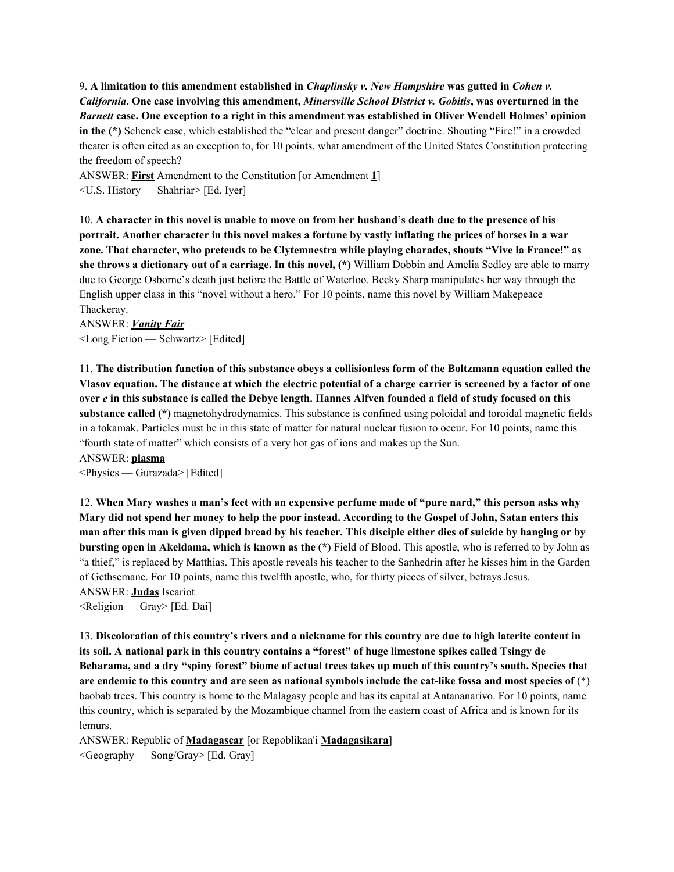9. **A limitation to this amendment established in** *Chaplinsky v. New Hampshire* **was gutted in** *Cohen v.* California. One case involving this amendment, Minersville School District v. Gobitis, was overturned in the Barnett case. One exception to a right in this amendment was established in Oliver Wendell Holmes' opinion **in the (\*)** Schenck case, which established the "clear and present danger" doctrine. Shouting "Fire!" in a crowded theater is often cited as an exception to, for 10 points, what amendment of the United States Constitution protecting the freedom of speech?

ANSWER: **First** Amendment to the Constitution [or Amendment **1**] <U.S. History — Shahriar> [Ed. Iyer]

10. A character in this novel is unable to move on from her husband's death due to the presence of his portrait. Another character in this novel makes a fortune by vastly inflating the prices of horses in a war **zone. That character, who pretends to be Clytemnestra while playing charades, shouts "Vive la France!" as she throws a dictionary out of a carriage. In this novel, (\*)** William Dobbin and Amelia Sedley are able to marry due to George Osborne's death just before the Battle of Waterloo. Becky Sharp manipulates her way through the English upper class in this "novel without a hero." For 10 points, name this novel by William Makepeace Thackeray.

ANSWER: *Vanity Fair* <Long Fiction — Schwartz> [Edited]

11. **The distribution function of this substance obeys a collisionless form of the Boltzmann equation called the** Vlasov equation. The distance at which the electric potential of a charge carrier is screened by a factor of one over e in this substance is called the Debye length. Hannes Alfven founded a field of study focused on this **substance called (\*)** magnetohydrodynamics. This substance is confined using poloidal and toroidal magnetic fields in a tokamak. Particles must be in this state of matter for natural nuclear fusion to occur. For 10 points, name this "fourth state of matter" which consists of a very hot gas of ions and makes up the Sun.

```
ANSWER: plasma
```
<Physics — Gurazada> [Edited]

12. When Mary washes a man's feet with an expensive perfume made of "pure nard," this person asks why Mary did not spend her money to help the poor instead. According to the Gospel of John, Satan enters this man after this man is given dipped bread by his teacher. This disciple either dies of suicide by hanging or by **bursting open in Akeldama, which is known as the (\*)** Field of Blood. This apostle, who is referred to by John as "a thief," is replaced by Matthias. This apostle reveals his teacher to the Sanhedrin after he kisses him in the Garden of Gethsemane. For 10 points, name this twelfth apostle, who, for thirty pieces of silver, betrays Jesus. ANSWER: **Judas** Iscariot

 $\leq$ Religion — Gray> [Ed. Dai]

13. Discoloration of this country's rivers and a nickname for this country are due to high laterite content in its soil. A national park in this country contains a "forest" of huge limestone spikes called Tsingy de Beharama, and a dry "spiny forest" biome of actual trees takes up much of this country's south. Species that are endemic to this country and are seen as national symbols include the cat-like fossa and most species of  $(*)$ baobab trees. This country is home to the Malagasy people and has its capital at Antananarivo. For 10 points, name this country, which is separated by the Mozambique channel from the eastern coast of Africa and is known for its lemurs.

ANSWER: Republic of **Madagascar** [or Repoblikan'i **Madagasikara**] <Geography — Song/Gray> [Ed. Gray]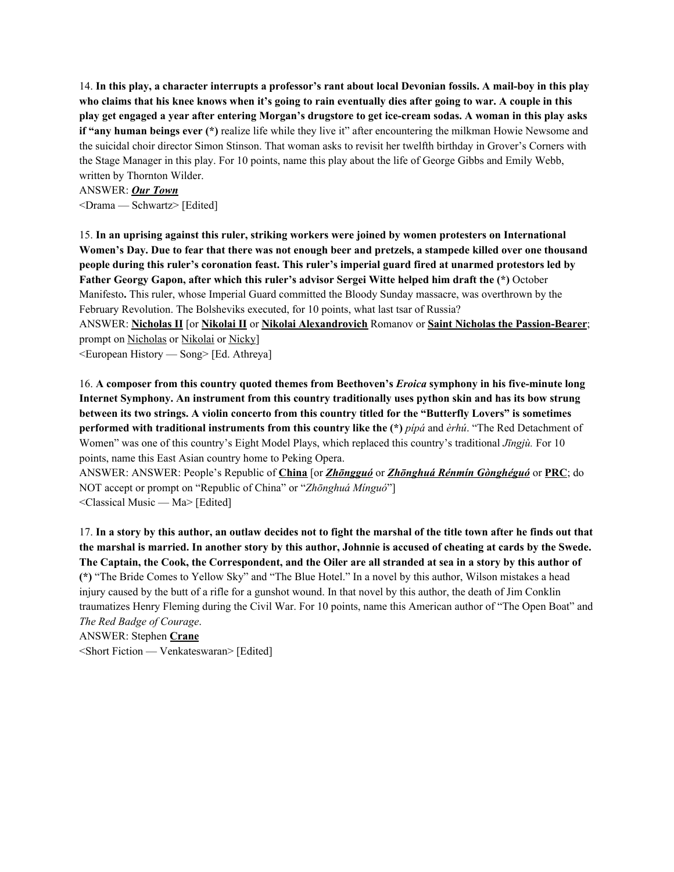14. In this play, a character interrupts a professor's rant about local Devonian fossils. A mail-boy in this play who claims that his knee knows when it's going to rain eventually dies after going to war. A couple in this play get engaged a year after entering Morgan's drugstore to get ice-cream sodas. A woman in this play asks **if "any human beings ever (\*)** realize life while they live it" after encountering the milkman Howie Newsome and the suicidal choir director Simon Stinson. That woman asks to revisit her twelfth birthday in Grover's Corners with the Stage Manager in this play. For 10 points, name this play about the life of George Gibbs and Emily Webb, written by Thornton Wilder.

ANSWER: *Our Town* <Drama — Schwartz> [Edited]

15. **In an uprising against this ruler, striking workers were joined by women protesters on International** Women's Day. Due to fear that there was not enough beer and pretzels, a stampede killed over one thousand **people during this ruler's coronation feast. This ruler's imperial guard fired at unarmed protestors led by Father Georgy Gapon, after which this ruler's advisor Sergei Witte helped him draft the (\*)** October Manifesto**.** This ruler, whose Imperial Guard committed the Bloody Sunday massacre, was overthrown by the February Revolution. The Bolsheviks executed, for 10 points, what last tsar of Russia?

ANSWER: **Nicholas II** [or **Nikolai II** or **Nikolai Alexandrovich** Romanov or **Saint Nicholas the Passion-Bearer**; prompt on Nicholas or Nikolai or Nicky]

<European History — Song> [Ed. Athreya]

16. **A composer from this country quoted themes from Beethoven's** *Eroica* **symphony in his five-minute long Internet Symphony. An instrument from this country traditionally uses python skin and has its bow strung** between its two strings. A violin concerto from this country titled for the "Butterfly Lovers" is sometimes **performed with traditional instruments from this country like the (\*)** *pípá* and *èrhú*. "The Red Detachment of Women" was one of this country's Eight Model Plays, which replaced this country's traditional *Jīngjù.* For 10 points, name this East Asian country home to Peking Opera.

ANSWER: ANSWER: People's Republic of **China** [or *Zhōngguó* or *Zhōnghuá Rénmín Gònghéguó* or **PRC**; do NOT accept or prompt on "Republic of China" or "*Zhōnghuá Mínguó*"] <Classical Music — Ma> [Edited]

17. In a story by this author, an outlaw decides not to fight the marshal of the title town after he finds out that the marshal is married. In another story by this author, Johnnie is accused of cheating at cards by the Swede. The Captain, the Cook, the Correspondent, and the Oiler are all stranded at sea in a story by this author of **(\*)** "The Bride Comes to Yellow Sky" and "The Blue Hotel." In a novel by this author, Wilson mistakes a head injury caused by the butt of a rifle for a gunshot wound. In that novel by this author, the death of Jim Conklin traumatizes Henry Fleming during the Civil War. For 10 points, name this American author of "The Open Boat" and *The Red Badge of Courage*.

ANSWER: Stephen **Crane** <Short Fiction — Venkateswaran> [Edited]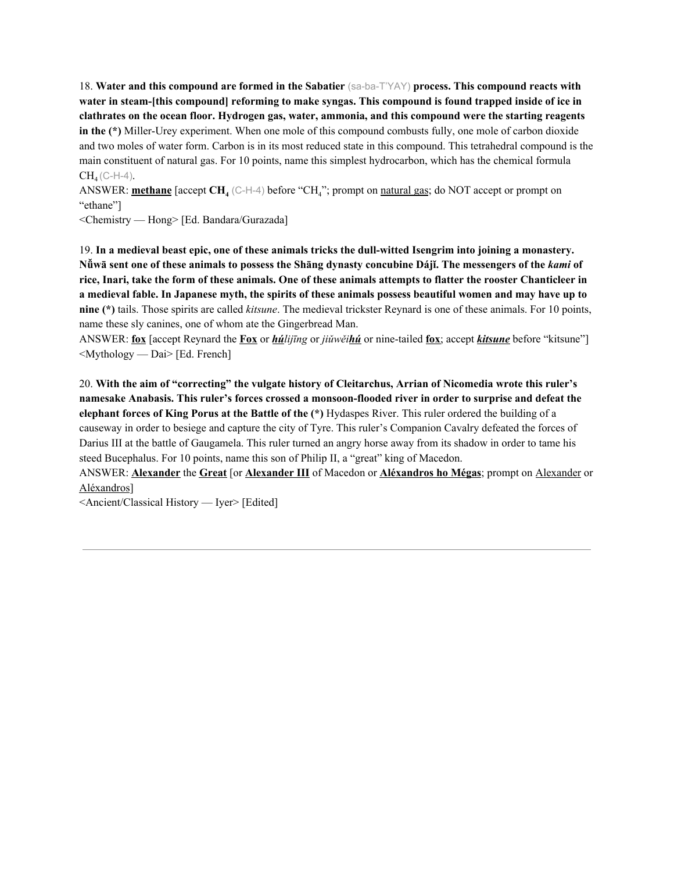18. **Water and this compound are formed in the Sabatier** (sa-ba-T'YAY) **process. This compound reacts with water in steam-[this compound] reforming to make syngas. This compound is found trapped inside of ice in clathrates on the ocean floor. Hydrogen gas, water, ammonia, and this compound were the starting reagents in the (\*)** Miller-Urey experiment. When one mole of this compound combusts fully, one mole of carbon dioxide and two moles of water form. Carbon is in its most reduced state in this compound. This tetrahedral compound is the main constituent of natural gas. For 10 points, name this simplest hydrocarbon, which has the chemical formula  $CH_4(C-H-4)$ .

ANSWER: **methane** [accept **CH<sup>4</sup>** (C-H-4) before "CH4"; prompt on natural gas; do NOT accept or prompt on "ethane"]

<Chemistry — Hong> [Ed. Bandara/Gurazada]

19. In a medieval beast epic, one of these animals tricks the dull-witted Isengrim into joining a monastery. Nüwā sent one of these animals to possess the Shang dynasty concubine Dáji. The messengers of the kami of rice, Inari, take the form of these animals. One of these animals attempts to flatter the rooster Chanticleer in a medieval fable. In Japanese myth, the spirits of these animals possess beautiful women and may have up to **nine (\*)** tails. Those spirits are called *kitsune*. The medieval trickster Reynard is one of these animals. For 10 points, name these sly canines, one of whom ate the Gingerbread Man.

ANSWER: **fox** [accept Reynard the **Fox** or *húlijīng* or *jiǔwěihú* or nine-tailed **fox**; accept *kitsune* before "kitsune"] <Mythology — Dai> [Ed. French]

20. **With the aim of "correcting" the vulgate history of Cleitarchus, Arrian of Nicomedia wrote this ruler's namesake Anabasis. This ruler's forces crossed a monsoon-flooded river in order to surprise and defeat the elephant forces of King Porus at the Battle of the (\*)** Hydaspes River. This ruler ordered the building of a causeway in order to besiege and capture the city of Tyre. This ruler's Companion Cavalry defeated the forces of Darius III at the battle of Gaugamela. This ruler turned an angry horse away from its shadow in order to tame his steed Bucephalus. For 10 points, name this son of Philip II, a "great" king of Macedon.

ANSWER: **Alexander** the **Great** [or **Alexander III** of Macedon or **Aléxandros ho Mégas**; prompt on Alexander or Aléxandros]

<Ancient/Classical History — Iyer> [Edited]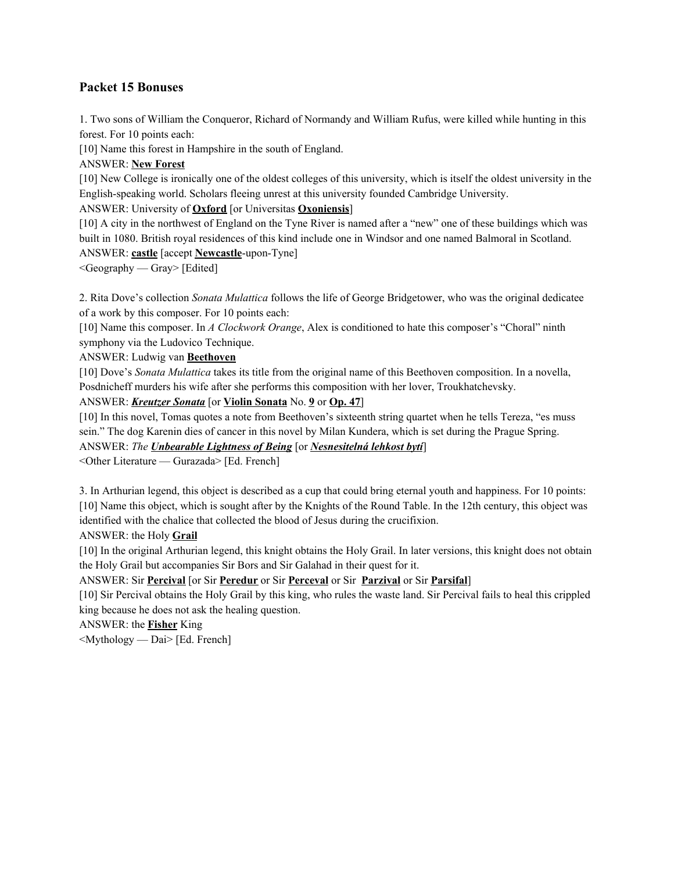# **Packet 15 Bonuses**

1. Two sons of William the Conqueror, Richard of Normandy and William Rufus, were killed while hunting in this forest. For 10 points each:

[10] Name this forest in Hampshire in the south of England.

ANSWER: **New Forest**

[10] New College is ironically one of the oldest colleges of this university, which is itself the oldest university in the English-speaking world. Scholars fleeing unrest at this university founded Cambridge University.

ANSWER: University of **Oxford** [or Universitas **Oxoniensis**]

[10] A city in the northwest of England on the Tyne River is named after a "new" one of these buildings which was built in 1080. British royal residences of this kind include one in Windsor and one named Balmoral in Scotland. ANSWER: **castle** [accept **Newcastle**-upon-Tyne]

<Geography — Gray> [Edited]

2. Rita Dove's collection *Sonata Mulattica* follows the life of George Bridgetower, who was the original dedicatee of a work by this composer. For 10 points each:

[10] Name this composer. In *A Clockwork Orange*, Alex is conditioned to hate this composer's "Choral" ninth symphony via the Ludovico Technique.

ANSWER: Ludwig van **Beethoven**

[10] Dove's *Sonata Mulattica* takes its title from the original name of this Beethoven composition. In a novella, Posdnicheff murders his wife after she performs this composition with her lover, Troukhatchevsky.

ANSWER: *Kreutzer Sonata* [or **Violin Sonata** No. **9** or **Op. 47**]

[10] In this novel, Tomas quotes a note from Beethoven's sixteenth string quartet when he tells Tereza, "es muss sein." The dog Karenin dies of cancer in this novel by Milan Kundera, which is set during the Prague Spring.

ANSWER: *The Unbearable Lightness of Being* [or *Nesnesitelná lehkost bytí*]

<Other Literature — Gurazada> [Ed. French]

3. In Arthurian legend, this object is described as a cup that could bring eternal youth and happiness. For 10 points: [10] Name this object, which is sought after by the Knights of the Round Table. In the 12th century, this object was identified with the chalice that collected the blood of Jesus during the crucifixion.

ANSWER: the Holy **Grail**

[10] In the original Arthurian legend, this knight obtains the Holy Grail. In later versions, this knight does not obtain the Holy Grail but accompanies Sir Bors and Sir Galahad in their quest for it.

ANSWER: Sir **Percival** [or Sir **Peredur** or Sir **Perceval** or Sir **Parzival** or Sir **Parsifal**]

[10] Sir Percival obtains the Holy Grail by this king, who rules the waste land. Sir Percival fails to heal this crippled king because he does not ask the healing question.

ANSWER: the **Fisher** King

<Mythology — Dai> [Ed. French]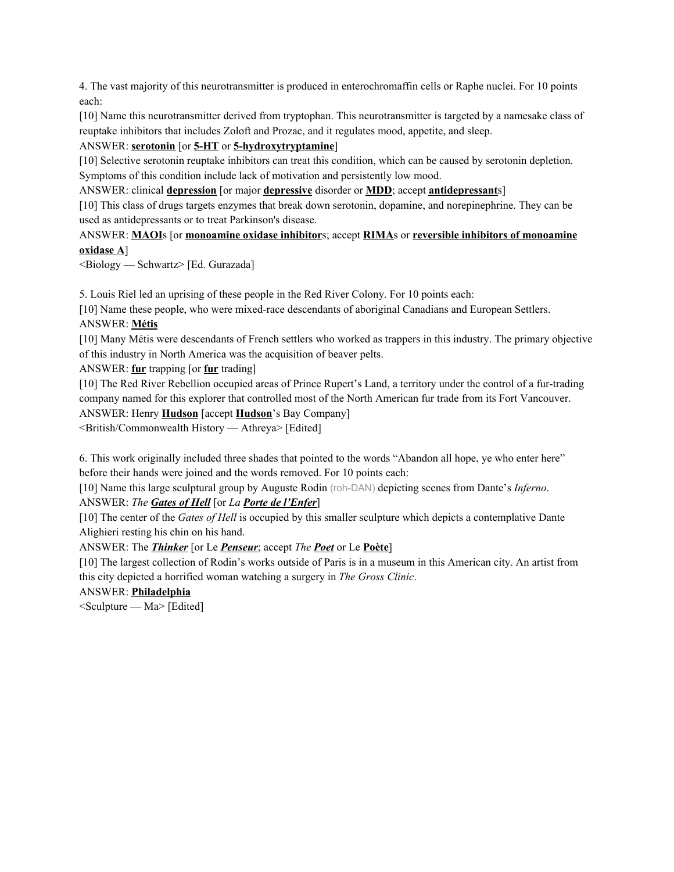4. The vast majority of this neurotransmitter is produced in enterochromaffin cells or Raphe nuclei. For 10 points each:

[10] Name this neurotransmitter derived from tryptophan. This neurotransmitter is targeted by a namesake class of reuptake inhibitors that includes Zoloft and Prozac, and it regulates mood, appetite, and sleep.

# ANSWER: **serotonin** [or **5-HT** or **5-hydroxytryptamine**]

[10] Selective serotonin reuptake inhibitors can treat this condition, which can be caused by serotonin depletion. Symptoms of this condition include lack of motivation and persistently low mood.

ANSWER: clinical **depression** [or major **depressive** disorder or **MDD**; accept **antidepressant**s]

[10] This class of drugs targets enzymes that break down serotonin, dopamine, and norepinephrine. They can be used as antidepressants or to treat Parkinson's disease.

# ANSWER: **MAOI**s [or **monoamine oxidase inhibitor**s; accept **RIMA**s or **reversible inhibitors of monoamine oxidase A**]

<Biology — Schwartz> [Ed. Gurazada]

5. Louis Riel led an uprising of these people in the Red River Colony. For 10 points each:

[10] Name these people, who were mixed-race descendants of aboriginal Canadians and European Settlers. ANSWER: **Métis**

[10] Many Métis were descendants of French settlers who worked as trappers in this industry. The primary objective of this industry in North America was the acquisition of beaver pelts.

ANSWER: **fur** trapping [or **fur** trading]

[10] The Red River Rebellion occupied areas of Prince Rupert's Land, a territory under the control of a fur-trading company named for this explorer that controlled most of the North American fur trade from its Fort Vancouver.

ANSWER: Henry **Hudson** [accept **Hudson**'s Bay Company]

<British/Commonwealth History — Athreya> [Edited]

6. This work originally included three shades that pointed to the words "Abandon all hope, ye who enter here" before their hands were joined and the words removed. For 10 points each:

[10] Name this large sculptural group by Auguste Rodin (roh-DAN) depicting scenes from Dante's *Inferno*.

ANSWER: *The Gates of Hell* [or *La Porte de l'Enfer*]

[10] The center of the *Gates of Hell* is occupied by this smaller sculpture which depicts a contemplative Dante Alighieri resting his chin on his hand.

ANSWER: The *Thinker* [or Le *Penseur*; accept *The Poet* or Le **Poète**]

[10] The largest collection of Rodin's works outside of Paris is in a museum in this American city. An artist from this city depicted a horrified woman watching a surgery in *The Gross Clinic*.

ANSWER: **Philadelphia**

 $\leq$ Sculpture — Ma $\geq$  [Edited]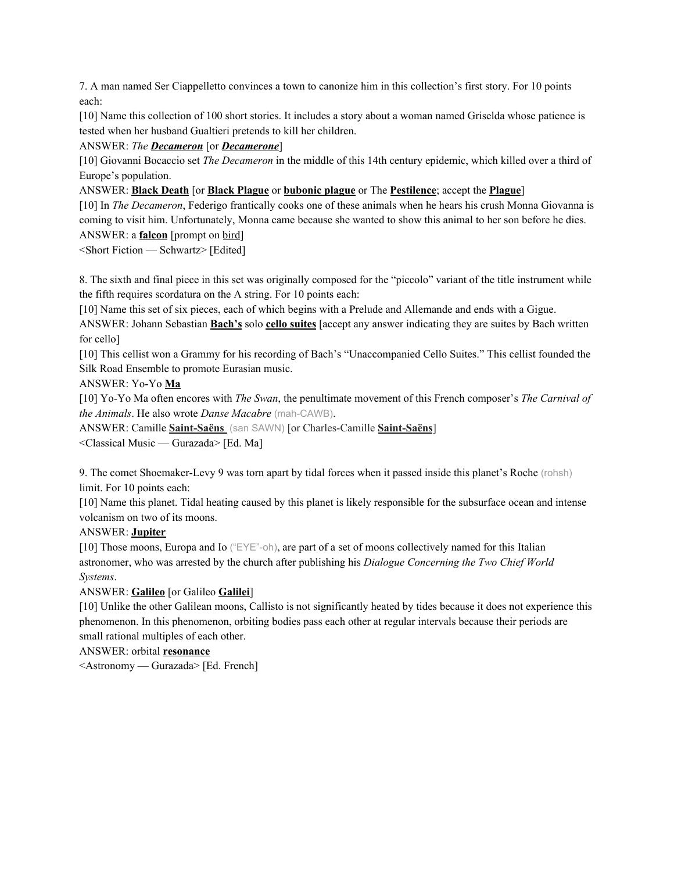7. A man named Ser Ciappelletto convinces a town to canonize him in this collection's first story. For 10 points each:

[10] Name this collection of 100 short stories. It includes a story about a woman named Griselda whose patience is tested when her husband Gualtieri pretends to kill her children.

ANSWER: *The Decameron* [or *Decamerone*]

[10] Giovanni Bocaccio set *The Decameron* in the middle of this 14th century epidemic, which killed over a third of Europe's population.

ANSWER: **Black Death** [or **Black Plague** or **bubonic plague** or The **Pestilence**; accept the **Plague**]

[10] In *The Decameron*, Federigo frantically cooks one of these animals when he hears his crush Monna Giovanna is coming to visit him. Unfortunately, Monna came because she wanted to show this animal to her son before he dies. ANSWER: a **falcon** [prompt on bird]

<Short Fiction — Schwartz> [Edited]

8. The sixth and final piece in this set was originally composed for the "piccolo" variant of the title instrument while the fifth requires scordatura on the A string. For 10 points each:

[10] Name this set of six pieces, each of which begins with a Prelude and Allemande and ends with a Gigue.

ANSWER: Johann Sebastian **Bach's** solo **cello suites** [accept any answer indicating they are suites by Bach written for cello]

[10] This cellist won a Grammy for his recording of Bach's "Unaccompanied Cello Suites." This cellist founded the Silk Road Ensemble to promote Eurasian music.

ANSWER: Yo-Yo **Ma**

[10] Yo-Yo Ma often encores with *The Swan*, the penultimate movement of this French composer's *The Carnival of the Animals*. He also wrote *Danse Macabre* (mah-CAWB).

ANSWER: Camille **Saint-Saëns** (san SAWN) [or Charles-Camille **Saint-Saëns**]

<Classical Music — Gurazada> [Ed. Ma]

9. The comet Shoemaker-Levy 9 was torn apart by tidal forces when it passed inside this planet's Roche (rohsh) limit. For 10 points each:

[10] Name this planet. Tidal heating caused by this planet is likely responsible for the subsurface ocean and intense volcanism on two of its moons.

#### ANSWER: **Jupiter**

[10] Those moons, Europa and Io ("EYE"-oh), are part of a set of moons collectively named for this Italian astronomer, who was arrested by the church after publishing his *Dialogue Concerning the Two Chief World Systems*.

#### ANSWER: **Galileo** [or Galileo **Galilei**]

[10] Unlike the other Galilean moons, Callisto is not significantly heated by tides because it does not experience this phenomenon. In this phenomenon, orbiting bodies pass each other at regular intervals because their periods are small rational multiples of each other.

#### ANSWER: orbital **resonance**

<Astronomy — Gurazada> [Ed. French]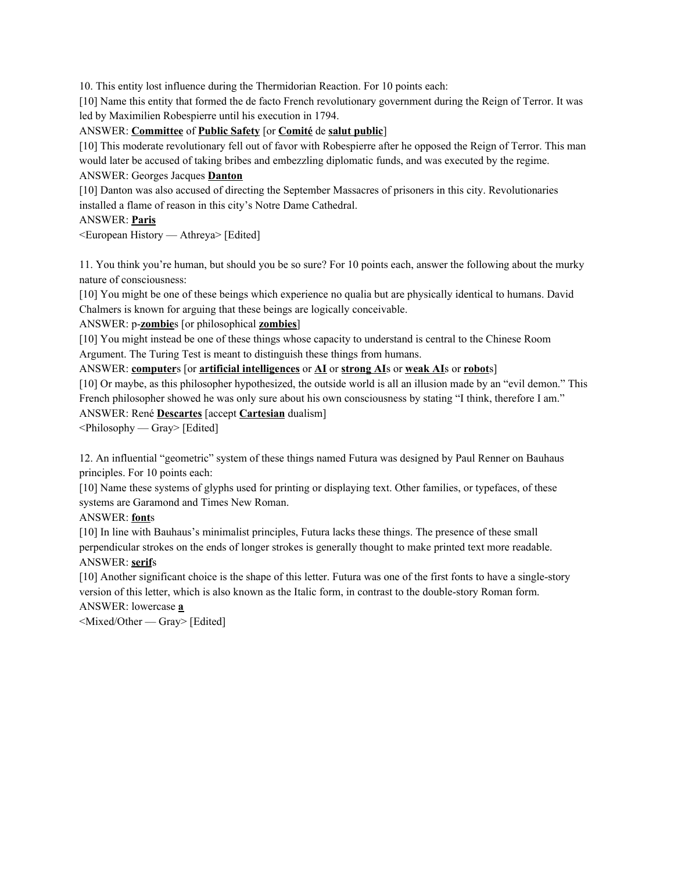10. This entity lost influence during the Thermidorian Reaction. For 10 points each:

[10] Name this entity that formed the de facto French revolutionary government during the Reign of Terror. It was led by Maximilien Robespierre until his execution in 1794.

#### ANSWER: **Committee** of **Public Safety** [or **Comité** de **salut public**]

[10] This moderate revolutionary fell out of favor with Robespierre after he opposed the Reign of Terror. This man would later be accused of taking bribes and embezzling diplomatic funds, and was executed by the regime. ANSWER: Georges Jacques **Danton**

[10] Danton was also accused of directing the September Massacres of prisoners in this city. Revolutionaries installed a flame of reason in this city's Notre Dame Cathedral.

#### ANSWER: **Paris**

<European History — Athreya> [Edited]

11. You think you're human, but should you be so sure? For 10 points each, answer the following about the murky nature of consciousness:

[10] You might be one of these beings which experience no qualia but are physically identical to humans. David Chalmers is known for arguing that these beings are logically conceivable.

ANSWER: p-**zombie**s [or philosophical **zombies**]

[10] You might instead be one of these things whose capacity to understand is central to the Chinese Room Argument. The Turing Test is meant to distinguish these things from humans.

#### ANSWER: **computer**s [or **artificial intelligences** or **AI** or **strong AI**s or **weak AI**s or **robot**s]

[10] Or maybe, as this philosopher hypothesized, the outside world is all an illusion made by an "evil demon." This French philosopher showed he was only sure about his own consciousness by stating "I think, therefore I am." ANSWER: René **Descartes** [accept **Cartesian** dualism]

<Philosophy — Gray> [Edited]

12. An influential "geometric" system of these things named Futura was designed by Paul Renner on Bauhaus principles. For 10 points each:

[10] Name these systems of glyphs used for printing or displaying text. Other families, or typefaces, of these systems are Garamond and Times New Roman.

ANSWER: **font**s

[10] In line with Bauhaus's minimalist principles, Futura lacks these things. The presence of these small perpendicular strokes on the ends of longer strokes is generally thought to make printed text more readable. ANSWER: **serif**s

[10] Another significant choice is the shape of this letter. Futura was one of the first fonts to have a single-story version of this letter, which is also known as the Italic form, in contrast to the double-story Roman form.

```
ANSWER: lowercase a
```
<Mixed/Other — Gray> [Edited]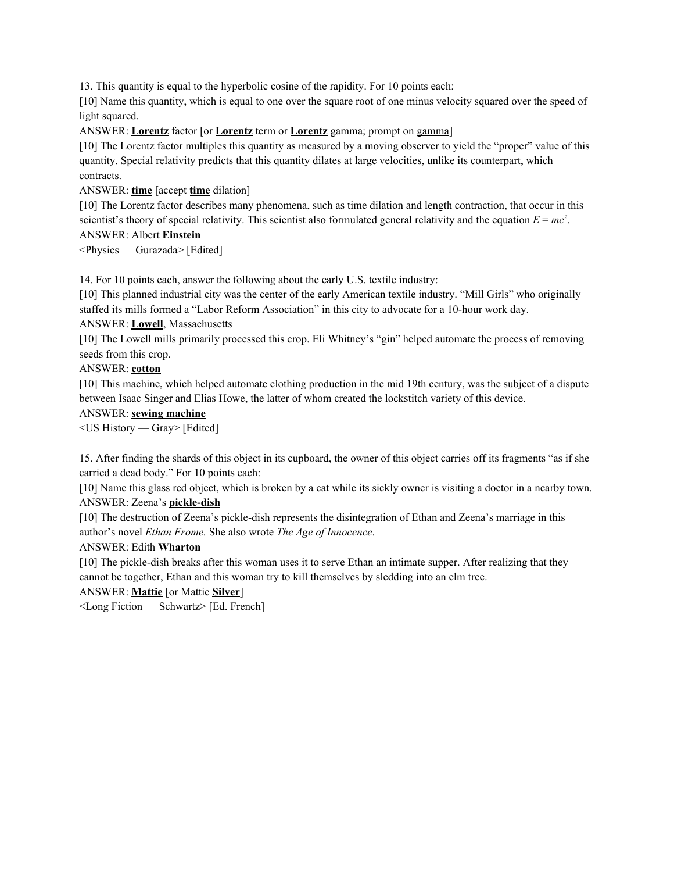13. This quantity is equal to the hyperbolic cosine of the rapidity. For 10 points each:

[10] Name this quantity, which is equal to one over the square root of one minus velocity squared over the speed of light squared.

ANSWER: **Lorentz** factor [or **Lorentz** term or **Lorentz** gamma; prompt on gamma]

[10] The Lorentz factor multiples this quantity as measured by a moving observer to yield the "proper" value of this quantity. Special relativity predicts that this quantity dilates at large velocities, unlike its counterpart, which contracts.

ANSWER: **time** [accept **time** dilation]

[10] The Lorentz factor describes many phenomena, such as time dilation and length contraction, that occur in this scientist's theory of special relativity. This scientist also formulated general relativity and the equation  $E = mc^2$ . ANSWER: Albert **Einstein**

<Physics — Gurazada> [Edited]

14. For 10 points each, answer the following about the early U.S. textile industry:

[10] This planned industrial city was the center of the early American textile industry. "Mill Girls" who originally staffed its mills formed a "Labor Reform Association" in this city to advocate for a 10-hour work day. ANSWER: **Lowell**, Massachusetts

[10] The Lowell mills primarily processed this crop. Eli Whitney's "gin" helped automate the process of removing seeds from this crop.

ANSWER: **cotton**

[10] This machine, which helped automate clothing production in the mid 19th century, was the subject of a dispute between Isaac Singer and Elias Howe, the latter of whom created the lockstitch variety of this device.

#### ANSWER: **sewing machine**

<US History — Gray> [Edited]

15. After finding the shards of this object in its cupboard, the owner of this object carries off its fragments "as if she carried a dead body." For 10 points each:

[10] Name this glass red object, which is broken by a cat while its sickly owner is visiting a doctor in a nearby town. ANSWER: Zeena's **pickle-dish**

[10] The destruction of Zeena's pickle-dish represents the disintegration of Ethan and Zeena's marriage in this author's novel *Ethan Frome.* She also wrote *The Age of Innocence*.

## ANSWER: Edith **Wharton**

[10] The pickle-dish breaks after this woman uses it to serve Ethan an intimate supper. After realizing that they cannot be together, Ethan and this woman try to kill themselves by sledding into an elm tree.

## ANSWER: **Mattie** [or Mattie **Silver**]

<Long Fiction — Schwartz> [Ed. French]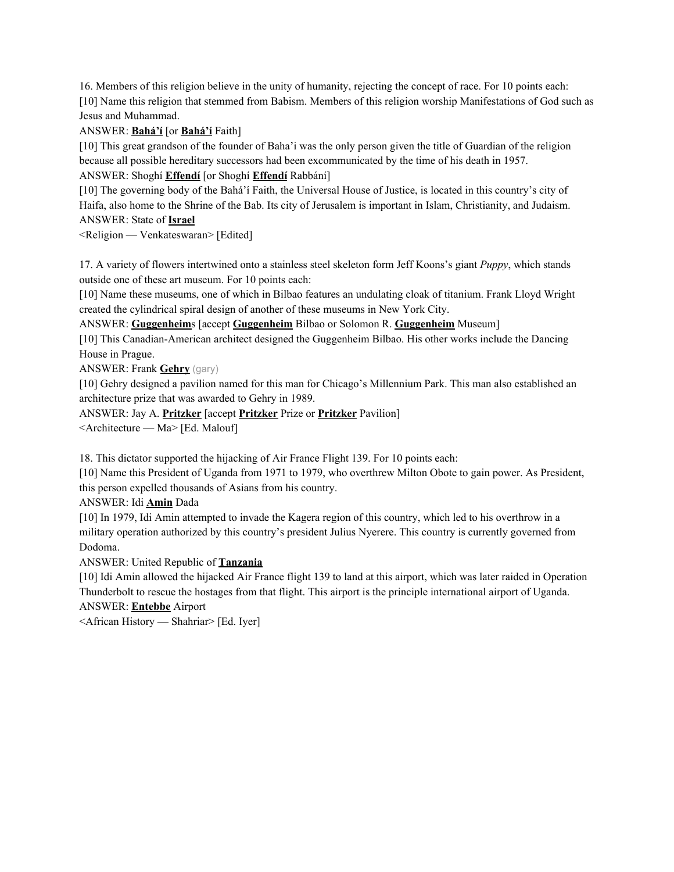16. Members of this religion believe in the unity of humanity, rejecting the concept of race. For 10 points each: [10] Name this religion that stemmed from Babism. Members of this religion worship Manifestations of God such as Jesus and Muhammad.

# ANSWER: **Bahá'í** [or **Bahá'í** Faith]

[10] This great grandson of the founder of Baha'i was the only person given the title of Guardian of the religion because all possible hereditary successors had been excommunicated by the time of his death in 1957. ANSWER: Shoghí **Effendí** [or Shoghí **Effendí** Rabbání]

[10] The governing body of the Bahá'í Faith, the Universal House of Justice, is located in this country's city of Haifa, also home to the Shrine of the Bab. Its city of Jerusalem is important in Islam, Christianity, and Judaism. ANSWER: State of **Israel**

<Religion — Venkateswaran> [Edited]

17. A variety of flowers intertwined onto a stainless steel skeleton form Jeff Koons's giant *Puppy*, which stands outside one of these art museum. For 10 points each:

[10] Name these museums, one of which in Bilbao features an undulating cloak of titanium. Frank Lloyd Wright created the cylindrical spiral design of another of these museums in New York City.

ANSWER: **Guggenheim**s [accept **Guggenheim** Bilbao or Solomon R. **Guggenheim** Museum]

[10] This Canadian-American architect designed the Guggenheim Bilbao. His other works include the Dancing House in Prague.

ANSWER: Frank **Gehry** (gary)

[10] Gehry designed a pavilion named for this man for Chicago's Millennium Park. This man also established an architecture prize that was awarded to Gehry in 1989.

ANSWER: Jay A. **Pritzker** [accept **Pritzker** Prize or **Pritzker** Pavilion]

<Architecture — Ma> [Ed. Malouf]

18. This dictator supported the hijacking of Air France Flight 139. For 10 points each:

[10] Name this President of Uganda from 1971 to 1979, who overthrew Milton Obote to gain power. As President, this person expelled thousands of Asians from his country.

ANSWER: Idi **Amin** Dada

[10] In 1979, Idi Amin attempted to invade the Kagera region of this country, which led to his overthrow in a military operation authorized by this country's president Julius Nyerere. This country is currently governed from Dodoma.

ANSWER: United Republic of **Tanzania**

[10] Idi Amin allowed the hijacked Air France flight 139 to land at this airport, which was later raided in Operation Thunderbolt to rescue the hostages from that flight. This airport is the principle international airport of Uganda. ANSWER: **Entebbe** Airport

<African History — Shahriar> [Ed. Iyer]